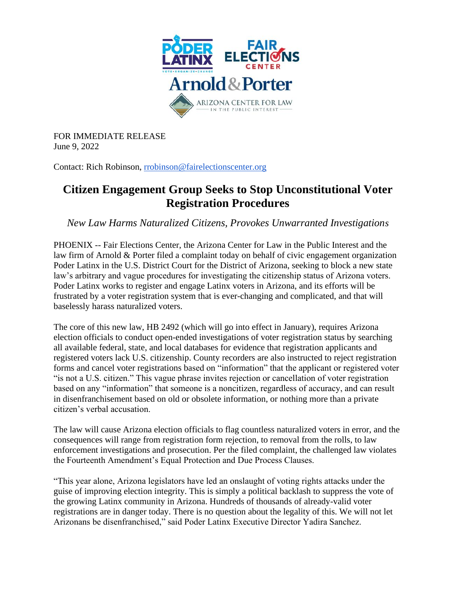

FOR IMMEDIATE RELEASE June 9, 2022

Contact: Rich Robinson, [rrobinson@fairelectionscenter.org](mailto:rrobinson@fairelectionscenter.org)

## **Citizen Engagement Group Seeks to Stop Unconstitutional Voter Registration Procedures**

*New Law Harms Naturalized Citizens, Provokes Unwarranted Investigations*

PHOENIX -- Fair Elections Center, the Arizona Center for Law in the Public Interest and the law firm of Arnold & Porter filed a complaint today on behalf of civic engagement organization Poder Latinx in the U.S. District Court for the District of Arizona, seeking to block a new state law's arbitrary and vague procedures for investigating the citizenship status of Arizona voters. Poder Latinx works to register and engage Latinx voters in Arizona, and its efforts will be frustrated by a voter registration system that is ever-changing and complicated, and that will baselessly harass naturalized voters.

The core of this new law, HB 2492 (which will go into effect in January), requires Arizona election officials to conduct open-ended investigations of voter registration status by searching all available federal, state, and local databases for evidence that registration applicants and registered voters lack U.S. citizenship. County recorders are also instructed to reject registration forms and cancel voter registrations based on "information" that the applicant or registered voter "is not a U.S. citizen." This vague phrase invites rejection or cancellation of voter registration based on any "information" that someone is a noncitizen, regardless of accuracy, and can result in disenfranchisement based on old or obsolete information, or nothing more than a private citizen's verbal accusation.

The law will cause Arizona election officials to flag countless naturalized voters in error, and the consequences will range from registration form rejection, to removal from the rolls, to law enforcement investigations and prosecution. Per the filed complaint, the challenged law violates the Fourteenth Amendment's Equal Protection and Due Process Clauses.

"This year alone, Arizona legislators have led an onslaught of voting rights attacks under the guise of improving election integrity. This is simply a political backlash to suppress the vote of the growing Latinx community in Arizona. Hundreds of thousands of already-valid voter registrations are in danger today. There is no question about the legality of this. We will not let Arizonans be disenfranchised," said Poder Latinx Executive Director Yadira Sanchez.